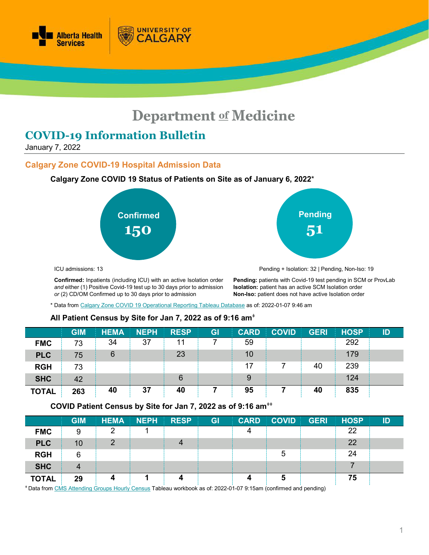

# **Department of Medicine**

# **COVID-19 Information Bulletin**

January 7, 2022

#### **Calgary Zone COVID-19 Hospital Admission Data**

#### **Calgary Zone COVID 19 Status of Patients on Site as of January 6, 2022**\*

**UNIVERSITY OF** 

ALGARY





ICU admissions: 13

Pending + Isolation: 32 | Pending, Non-Iso: 19

**Confirmed:** Inpatients (including ICU) with an active Isolation order *and* either (1) Positive Covid-19 test up to 30 days prior to admission *or* (2) CD/OM Confirmed up to 30 days prior to admission

**Pending:** patients with Covid-19 test pending in SCM or ProvLab **Isolation:** patient has an active SCM Isolation order **Non-Iso:** patient does not have active Isolation order

\* Data fro[m Calgary Zone COVID 19 Operational](https://tableau.albertahealthservices.ca/#/views/Covid19StatusCalgarySites/COVID19StatusCZSites?:iid=1) Reporting Tableau Database as of: 2022-01-07 9:46 am

#### **All Patient Census by Site for Jan 7, 2022 as of 9:16 am**<sup>ǂ</sup>

|              | <b>GIM</b> | <b>HEMA</b> | <b>NEPH</b> | <b>RESP</b> | GI | <b>CARD</b> | <b>COVID</b> | <b>GERI</b> | <b>HOSP</b> | ID |
|--------------|------------|-------------|-------------|-------------|----|-------------|--------------|-------------|-------------|----|
| <b>FMC</b>   | 73         | 34          | 37          |             |    | 59          |              |             | 292         |    |
| <b>PLC</b>   | 75         | 6           |             | 23          |    | 10          |              |             | 179         |    |
| <b>RGH</b>   | 73         |             |             |             |    | 17          |              | 40          | 239         |    |
| <b>SHC</b>   | 42         |             |             | 6           |    | 9           |              |             | 124         |    |
| <b>TOTAL</b> | 263        | 40          | 37          | 40          |    | 95          |              | 40          | 835         |    |

**COVID Patient Census by Site for Jan 7, 2022 as of 9:16 am**ǂǂ

|              | <b>GIM</b> | <b>HEMA</b> | <b>NEPH</b> | <b>RESP</b> | GI | <b>CARD</b> | <b>COVID GERI</b> | <b>HOSP</b> | ID |
|--------------|------------|-------------|-------------|-------------|----|-------------|-------------------|-------------|----|
| <b>FMC</b>   | 9          |             |             |             |    |             |                   | 22          |    |
| <b>PLC</b>   | 10         |             |             |             |    |             |                   | 22          |    |
| <b>RGH</b>   | 6          |             |             |             |    |             |                   | 24          |    |
| <b>SHC</b>   | 4          |             |             |             |    |             |                   |             |    |
| <b>TOTAL</b> | 29         |             |             |             |    |             |                   | 75          |    |

<sup>ǂ</sup> Data fro[m CMS Attending Groups Hourly Census](https://tableau.albertahealthservices.ca/#/workbooks/29067/views) Tableau workbook as of: 2022-01-07 9:15am (confirmed and pending)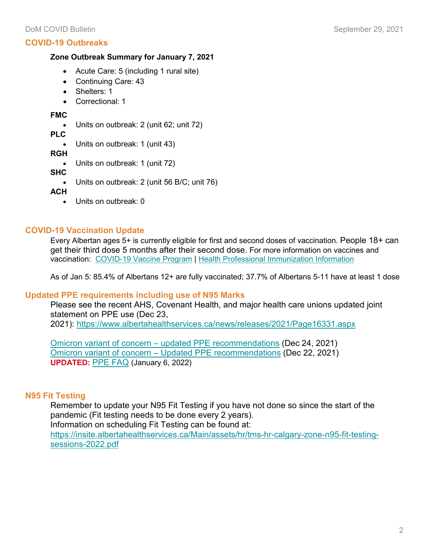## **COVID-19 Outbreaks**

#### **Zone Outbreak Summary for January 7, 2021**

- Acute Care: 5 (including 1 rural site)
- Continuing Care: 43
- Shelters: 1
- Correctional: 1

#### **FMC**

• Units on outbreak: 2 (unit 62; unit 72)

**PLC**

• Units on outbreak: 1 (unit 43)

**RGH**

• Units on outbreak: 1 (unit 72)

**SHC**

• Units on outbreak: 2 (unit 56 B/C; unit 76)

**ACH**

• Units on outbreak: 0

# **COVID-19 Vaccination Update**

Every Albertan ages 5+ is currently eligible for first and second doses of vaccination. People 18+ can get their third dose 5 months after their second dose. For more information on vaccines and vaccination: [COVID-19 Vaccine Program](https://www.alberta.ca/covid19-vaccine.aspx?utm_source=bing&utm_medium=cpc&utm_campaign=Vaccines%20Campaign%20-%20Search&utm_term=alberta%20vaccine&utm_content=General) | [Health Professional Immunization Information](https://insite.albertahealthservices.ca/tools/Page25471.aspx)

As of Jan 5: 85.4% of Albertans 12+ are fully vaccinated; 37.7% of Albertans 5-11 have at least 1 dose

# **Updated PPE requirements including use of N95 Marks**

Please see the recent AHS, Covenant Health, and major health care unions updated joint statement on PPE use (Dec 23, 2021): <https://www.albertahealthservices.ca/news/releases/2021/Page16331.aspx>

Omicron variant of concern – [updated PPE recommendations](https://www.departmentofmedicine.com/meoc/covid-omicron-voc-updated-ppe-recomendations.pdf) (Dec 24, 2021) Omicron variant of concern – [Updated PPE recommendations](https://www.departmentofmedicine.com/meoc/covid-omicron-ppe-recommendations.pdf) (Dec 22, 2021) **UPDATED:** [PPE FAQ](https://www.albertahealthservices.ca/assets/info/ppih/if-ppih-covid-19-breakroom-checklist.pdf) (January 6, 2022)

# **N95 Fit Testing**

Remember to update your N95 Fit Testing if you have not done so since the start of the pandemic (Fit testing needs to be done every 2 years). Information on scheduling Fit Testing can be found at:

[https://insite.albertahealthservices.ca/Main/assets/hr/tms-hr-calgary-zone-n95-fit-testing](https://insite.albertahealthservices.ca/Main/assets/hr/tms-hr-calgary-zone-n95-fit-testing-sessions-2022.pdf)[sessions-2022.pdf](https://insite.albertahealthservices.ca/Main/assets/hr/tms-hr-calgary-zone-n95-fit-testing-sessions-2022.pdf)